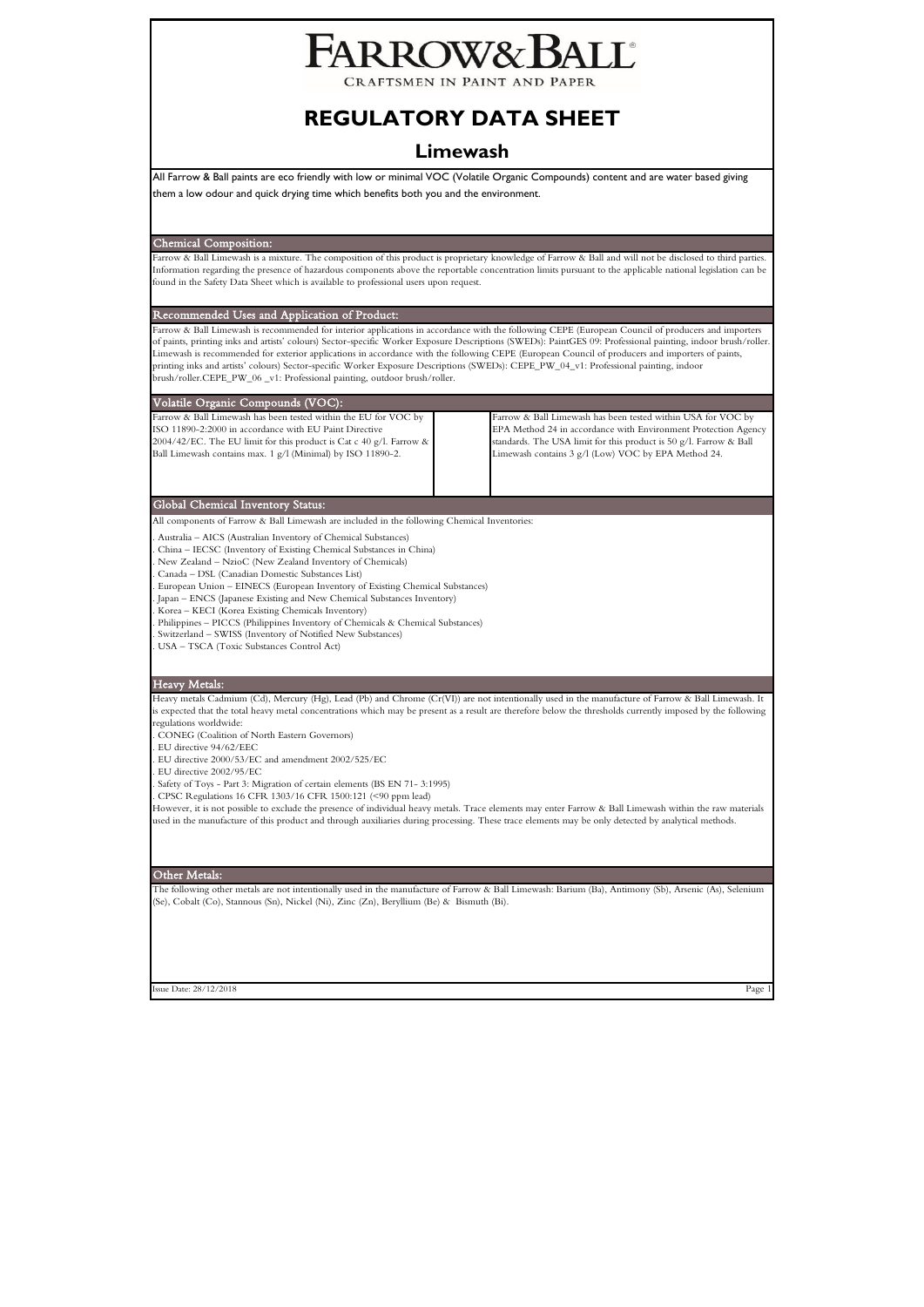# ARROW& BALL

CRAFTSMEN IN PAINT AND PAPER

## **REGULATORY DATA SHEET**

## **Limewash**

All Farrow & Ball paints are eco friendly with low or minimal VOC (Volatile Organic Compounds) content and are water based giving them a low odour and quick drying time which benefits both you and the environment.

Chemical Composition:

Farrow & Ball Limewash is a mixture. The composition of this product is proprietary knowledge of Farrow & Ball and will not be disclosed to third parties Information regarding the presence of hazardous components above the reportable concentration limits pursuant to the applicable national legislation can be found in the Safety Data Sheet which is available to professional users upon request.

Recommended Uses and Application of Product:

Farrow & Ball Limewash is recommended for interior applications in accordance with the following CEPE (European Council of producers and importers<br>of paints, printing inks and artists' colours) Sector-specific Worker Expos Limewash is recommended for exterior applications in accordance with the following CEPE (European Council of producers and importers of paints, printing inks and artists' colours) Sector-specific Worker Exposure Descriptions (SWEDs): CEPE\_PW\_04\_v1: Professional painting, indoor brush/roller.CEPE\_PW\_06 \_v1: Professional painting, outdoor brush/roller.

#### Global Chemical Inventory Status: Volatile Organic Compounds (VOC): Farrow & Ball Limewash has been tested within the EU for VOC by ISO 11890-2:2000 in accordance with EU Paint Directive  $2004/42$ /EC. The EU limit for this product is Cat c 40 g/l. Farrow & Ball Limewash contains max. 1 g/l (Minimal) by ISO 11890-2. Farrow & Ball Limewash has been tested within USA for VOC by EPA Method 24 in accordance with Environment Protection Agency standards. The USA limit for this product is 50 g/l. Farrow & Ball Limewash contains 3 g/l (Low) VOC by EPA Method 24.

All components of Farrow & Ball Limewash are included in the following Chemical Inventories:

. Australia – AICS (Australian Inventory of Chemical Substances)

. China – IECSC (Inventory of Existing Chemical Substances in China)

. New Zealand – NzioC (New Zealand Inventory of Chemicals)

. Canada – DSL (Canadian Domestic Substances List)

. European Union – EINECS (European Inventory of Existing Chemical Substances) . Japan – ENCS (Japanese Existing and New Chemical Substances Inventory)

. Korea – KECI (Korea Existing Chemicals Inventory)

. Philippines – PICCS (Philippines Inventory of Chemicals & Chemical Substances)

. Switzerland – SWISS (Inventory of Notified New Substances)

. USA – TSCA (Toxic Substances Control Act)

#### Heavy Metals:

Heavy metals Cadmium (Cd), Mercury (Hg), Lead (Pb) and Chrome (Cr(VI)) are not intentionally used in the manufacture of Farrow & Ball Limewash. It is expected that the total heavy metal concentrations which may be present as a result are therefore below the thresholds currently imposed by the following regulations worldwide:

. CONEG (Coalition of North Eastern Governors)

. EU directive 94/62/EEC

. EU directive 2000/53/EC and amendment 2002/525/EC

. EU directive 2002/95/EC

. Safety of Toys - Part 3: Migration of certain elements (BS EN 71- 3:1995)

. CPSC Regulations 16 CFR 1303/16 CFR 1500:121 (<90 ppm lead)

However, it is not possible to exclude the presence of individual heavy metals. Trace elements may enter Farrow & Ball Limewash within the raw materials used in the manufacture of this product and through auxiliaries during processing. These trace elements may be only detected by analytical methods.

#### Other Metals:

The following other metals are not intentionally used in the manufacture of Farrow & Ball Limewash: Barium (Ba), Antimony (Sb), Arsenic (As), Selenium (Se), Cobalt (Co), Stannous (Sn), Nickel (Ni), Zinc (Zn), Beryllium (Be) & Bismuth (Bi).

Issue Date: 28/12/2018 Page 1